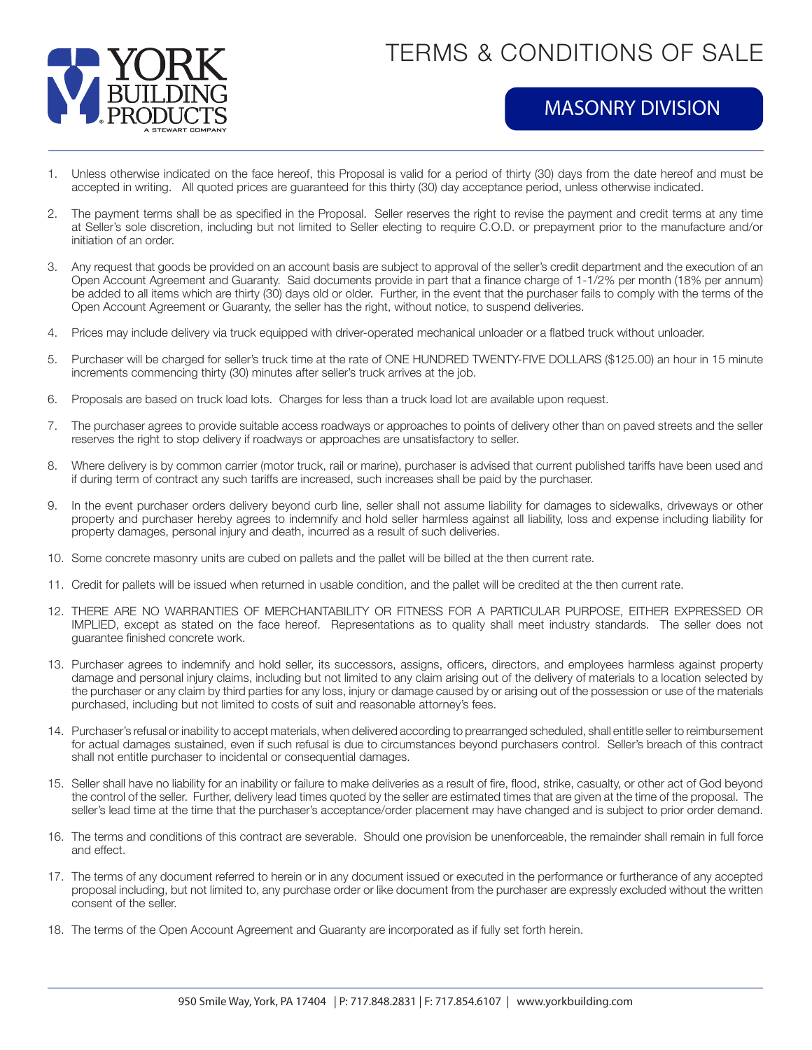

## TERMS & CONDITIONS OF SALE

## MASONRY DIVISION

- 1. Unless otherwise indicated on the face hereof, this Proposal is valid for a period of thirty (30) days from the date hereof and must be accepted in writing. All quoted prices are guaranteed for this thirty (30) day acceptance period, unless otherwise indicated.
- 2. The payment terms shall be as specified in the Proposal. Seller reserves the right to revise the payment and credit terms at any time at Seller's sole discretion, including but not limited to Seller electing to require C.O.D. or prepayment prior to the manufacture and/or initiation of an order.
- 3. Any request that goods be provided on an account basis are subject to approval of the seller's credit department and the execution of an Open Account Agreement and Guaranty. Said documents provide in part that a finance charge of 1-1/2% per month (18% per annum) be added to all items which are thirty (30) days old or older. Further, in the event that the purchaser fails to comply with the terms of the Open Account Agreement or Guaranty, the seller has the right, without notice, to suspend deliveries.
- 4. Prices may include delivery via truck equipped with driver-operated mechanical unloader or a flatbed truck without unloader.
- 5. Purchaser will be charged for seller's truck time at the rate of ONE HUNDRED TWENTY-FIVE DOLLARS (\$125.00) an hour in 15 minute increments commencing thirty (30) minutes after seller's truck arrives at the job.
- 6. Proposals are based on truck load lots. Charges for less than a truck load lot are available upon request.
- 7. The purchaser agrees to provide suitable access roadways or approaches to points of delivery other than on paved streets and the seller reserves the right to stop delivery if roadways or approaches are unsatisfactory to seller.
- 8. Where delivery is by common carrier (motor truck, rail or marine), purchaser is advised that current published tariffs have been used and if during term of contract any such tariffs are increased, such increases shall be paid by the purchaser.
- 9. In the event purchaser orders delivery beyond curb line, seller shall not assume liability for damages to sidewalks, driveways or other property and purchaser hereby agrees to indemnify and hold seller harmless against all liability, loss and expense including liability for property damages, personal injury and death, incurred as a result of such deliveries.
- 10. Some concrete masonry units are cubed on pallets and the pallet will be billed at the then current rate.
- 11. Credit for pallets will be issued when returned in usable condition, and the pallet will be credited at the then current rate.
- 12. THERE ARE NO WARRANTIES OF MERCHANTABILITY OR FITNESS FOR A PARTICULAR PURPOSE, EITHER EXPRESSED OR IMPLIED, except as stated on the face hereof. Representations as to quality shall meet industry standards. The seller does not guarantee finished concrete work.
- 13. Purchaser agrees to indemnify and hold seller, its successors, assigns, officers, directors, and employees harmless against property damage and personal injury claims, including but not limited to any claim arising out of the delivery of materials to a location selected by the purchaser or any claim by third parties for any loss, injury or damage caused by or arising out of the possession or use of the materials purchased, including but not limited to costs of suit and reasonable attorney's fees.
- 14. Purchaser's refusal or inability to accept materials, when delivered according to prearranged scheduled, shall entitle seller to reimbursement for actual damages sustained, even if such refusal is due to circumstances beyond purchasers control. Seller's breach of this contract shall not entitle purchaser to incidental or consequential damages.
- 15. Seller shall have no liability for an inability or failure to make deliveries as a result of fire, flood, strike, casualty, or other act of God beyond the control of the seller. Further, delivery lead times quoted by the seller are estimated times that are given at the time of the proposal. The seller's lead time at the time that the purchaser's acceptance/order placement may have changed and is subject to prior order demand.
- 16. The terms and conditions of this contract are severable. Should one provision be unenforceable, the remainder shall remain in full force and effect.
- 17. The terms of any document referred to herein or in any document issued or executed in the performance or furtherance of any accepted proposal including, but not limited to, any purchase order or like document from the purchaser are expressly excluded without the written consent of the seller.
- 18. The terms of the Open Account Agreement and Guaranty are incorporated as if fully set forth herein.